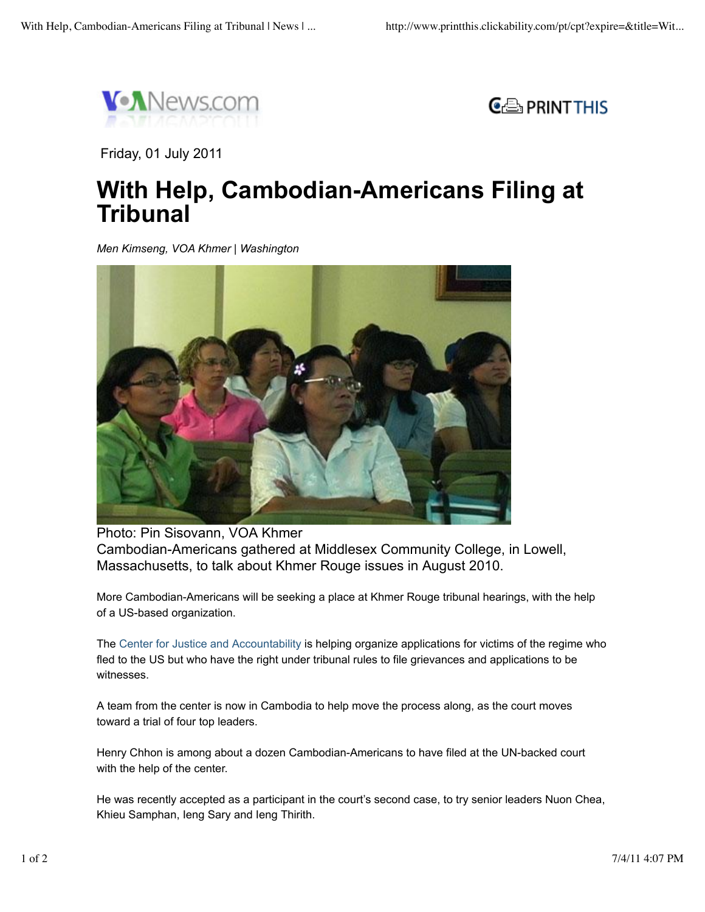



Friday, 01 July 2011

## **With Help, Cambodian-Americans Filing at Tribunal**

*Men Kimseng, VOA Khmer | Washington*



Photo: Pin Sisovann, VOA Khmer Cambodian-Americans gathered at Middlesex Community College, in Lowell, Massachusetts, to talk about Khmer Rouge issues in August 2010.

More Cambodian-Americans will be seeking a place at Khmer Rouge tribunal hearings, with the help of a US-based organization.

The Center for Justice and Accountability is helping organize applications for victims of the regime who fled to the US but who have the right under tribunal rules to file grievances and applications to be witnesses.

A team from the center is now in Cambodia to help move the process along, as the court moves toward a trial of four top leaders.

Henry Chhon is among about a dozen Cambodian-Americans to have filed at the UN-backed court with the help of the center.

He was recently accepted as a participant in the court's second case, to try senior leaders Nuon Chea, Khieu Samphan, Ieng Sary and Ieng Thirith.